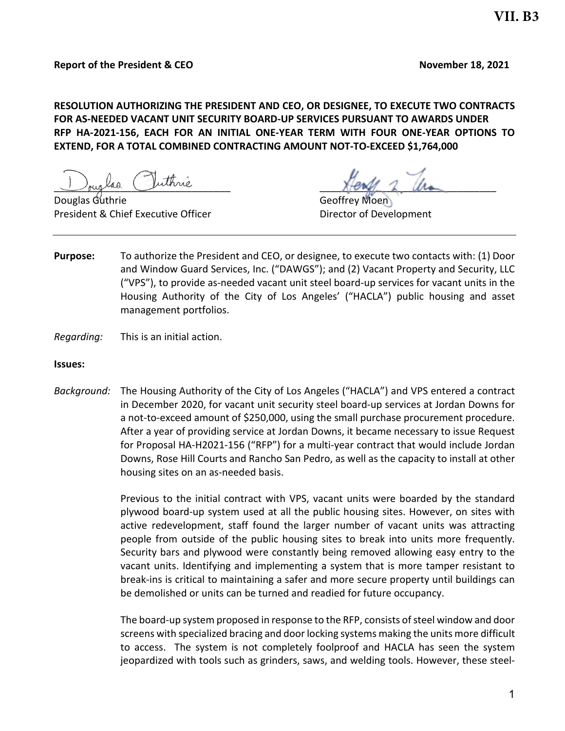**RESOLUTION AUTHORIZING THE PRESIDENT AND CEO, OR DESIGNEE, TO EXECUTE TWO CONTRACTS FOR AS-NEEDED VACANT UNIT SECURITY BOARD-UP SERVICES PURSUANT TO AWARDS UNDER RFP HA-2021-156, EACH FOR AN INITIAL ONE-YEAR TERM WITH FOUR ONE-YEAR OPTIONS TO EXTEND, FOR A TOTAL COMBINED CONTRACTING AMOUNT NOT-TO-EXCEED \$1,764,000**

Douglas Guthrie Communication Controllery Moen President & Chief Executive Officer **Director of Development** 

buglas imme

- **Purpose:** To authorize the President and CEO, or designee, to execute two contacts with: (1) Door and Window Guard Services, Inc. ("DAWGS"); and (2) Vacant Property and Security, LLC ("VPS"), to provide as-needed vacant unit steel board-up services for vacant units in the Housing Authority of the City of Los Angeles' ("HACLA") public housing and asset management portfolios.
- *Regarding:* This is an initial action.

**Issues:**

*Background:* The Housing Authority of the City of Los Angeles ("HACLA") and VPS entered a contract in December 2020, for vacant unit security steel board-up services at Jordan Downs for a not-to-exceed amount of \$250,000, using the small purchase procurement procedure. After a year of providing service at Jordan Downs, it became necessary to issue Request for Proposal HA-H2021-156 ("RFP") for a multi-year contract that would include Jordan Downs, Rose Hill Courts and Rancho San Pedro, as well as the capacity to install at other housing sites on an as-needed basis.

> Previous to the initial contract with VPS, vacant units were boarded by the standard plywood board-up system used at all the public housing sites. However, on sites with active redevelopment, staff found the larger number of vacant units was attracting people from outside of the public housing sites to break into units more frequently. Security bars and plywood were constantly being removed allowing easy entry to the vacant units. Identifying and implementing a system that is more tamper resistant to break-ins is critical to maintaining a safer and more secure property until buildings can be demolished or units can be turned and readied for future occupancy.

> The board-up system proposed in response to the RFP, consists of steel window and door screens with specialized bracing and door locking systems making the units more difficult to access. The system is not completely foolproof and HACLA has seen the system jeopardized with tools such as grinders, saws, and welding tools. However, these steel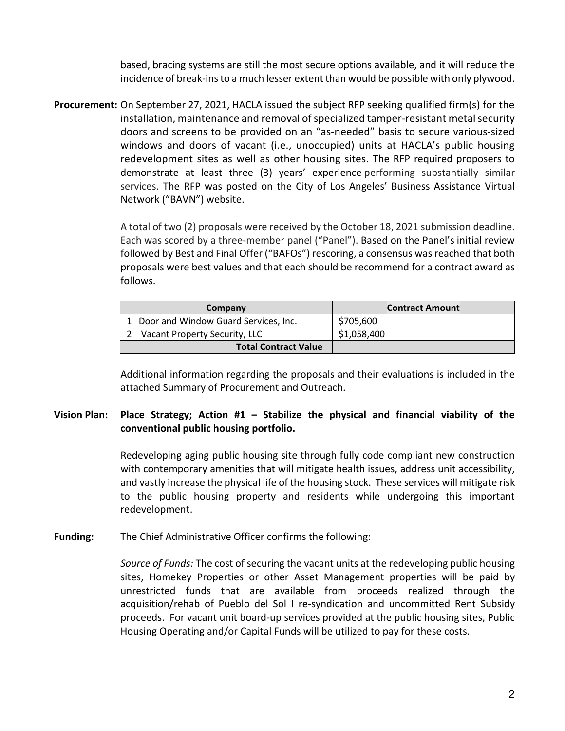based, bracing systems are still the most secure options available, and it will reduce the incidence of break-insto a much lesser extent than would be possible with only plywood.

**Procurement:** On September 27, 2021, HACLA issued the subject RFP seeking qualified firm(s) for the installation, maintenance and removal of specialized tamper-resistant metal security doors and screens to be provided on an "as-needed" basis to secure various-sized windows and doors of vacant (i.e., unoccupied) units at HACLA's public housing redevelopment sites as well as other housing sites. The RFP required proposers to demonstrate at least three (3) years' experience performing substantially similar services. The RFP was posted on the City of Los Angeles' Business Assistance Virtual Network ("BAVN") website.

> A total of two (2) proposals were received by the October 18, 2021 submission deadline. Each was scored by a three-member panel ("Panel"). Based on the Panel's initial review followed by Best and Final Offer ("BAFOs") rescoring, a consensus was reached that both proposals were best values and that each should be recommend for a contract award as follows.

| Company                                | <b>Contract Amount</b> |
|----------------------------------------|------------------------|
| 1 Door and Window Guard Services, Inc. | \$705,600              |
| Vacant Property Security, LLC          | \$1,058,400            |
| <b>Total Contract Value</b>            |                        |

Additional information regarding the proposals and their evaluations is included in the attached Summary of Procurement and Outreach.

# **Vision Plan: Place Strategy; Action #1 – Stabilize the physical and financial viability of the conventional public housing portfolio.**

Redeveloping aging public housing site through fully code compliant new construction with contemporary amenities that will mitigate health issues, address unit accessibility, and vastly increase the physical life of the housing stock. These services will mitigate risk to the public housing property and residents while undergoing this important redevelopment.

**Funding:** The Chief Administrative Officer confirms the following:

*Source of Funds:* The cost of securing the vacant units at the redeveloping public housing sites, Homekey Properties or other Asset Management properties will be paid by unrestricted funds that are available from proceeds realized through the acquisition/rehab of Pueblo del Sol I re-syndication and uncommitted Rent Subsidy proceeds. For vacant unit board-up services provided at the public housing sites, Public Housing Operating and/or Capital Funds will be utilized to pay for these costs.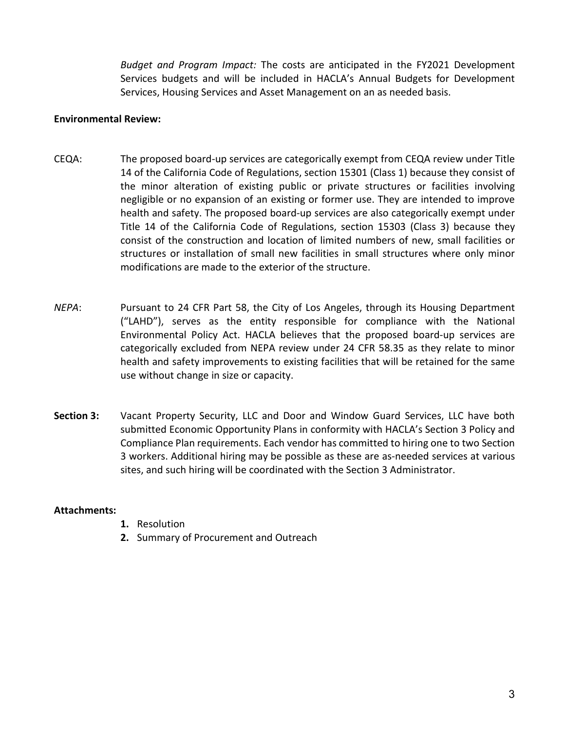*Budget and Program Impact:* The costs are anticipated in the FY2021 Development Services budgets and will be included in HACLA's Annual Budgets for Development Services, Housing Services and Asset Management on an as needed basis.

### **Environmental Review:**

- CEQA: The proposed board-up services are categorically exempt from CEQA review under Title 14 of the California Code of Regulations, section 15301 (Class 1) because they consist of the minor alteration of existing public or private structures or facilities involving negligible or no expansion of an existing or former use. They are intended to improve health and safety. The proposed board-up services are also categorically exempt under Title 14 of the California Code of Regulations, section 15303 (Class 3) because they consist of the construction and location of limited numbers of new, small facilities or structures or installation of small new facilities in small structures where only minor modifications are made to the exterior of the structure.
- *NEPA*: Pursuant to 24 CFR Part 58, the City of Los Angeles, through its Housing Department ("LAHD"), serves as the entity responsible for compliance with the National Environmental Policy Act. HACLA believes that the proposed board-up services are categorically excluded from NEPA review under 24 CFR 58.35 as they relate to minor health and safety improvements to existing facilities that will be retained for the same use without change in size or capacity.
- **Section 3:** Vacant Property Security, LLC and Door and Window Guard Services, LLC have both submitted Economic Opportunity Plans in conformity with HACLA's Section 3 Policy and Compliance Plan requirements. Each vendor has committed to hiring one to two Section 3 workers. Additional hiring may be possible as these are as-needed services at various sites, and such hiring will be coordinated with the Section 3 Administrator.

#### **Attachments:**

- **1.** Resolution
- **2.** Summary of Procurement and Outreach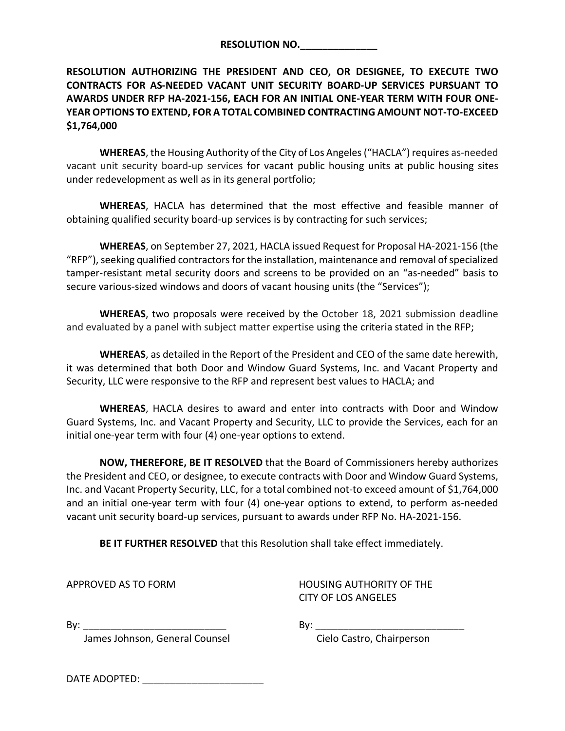| <b>RESOLUTION NO.</b> |  |  |
|-----------------------|--|--|
|                       |  |  |

**RESOLUTION AUTHORIZING THE PRESIDENT AND CEO, OR DESIGNEE, TO EXECUTE TWO CONTRACTS FOR AS-NEEDED VACANT UNIT SECURITY BOARD-UP SERVICES PURSUANT TO AWARDS UNDER RFP HA-2021-156, EACH FOR AN INITIAL ONE-YEAR TERM WITH FOUR ONE-YEAR OPTIONS TO EXTEND, FOR A TOTAL COMBINED CONTRACTING AMOUNT NOT-TO-EXCEED \$1,764,000**

**WHEREAS**, the Housing Authority of the City of Los Angeles ("HACLA") requires as-needed vacant unit security board-up services for vacant public housing units at public housing sites under redevelopment as well as in its general portfolio;

**WHEREAS**, HACLA has determined that the most effective and feasible manner of obtaining qualified security board-up services is by contracting for such services;

**WHEREAS**, on September 27, 2021, HACLA issued Request for Proposal HA-2021-156 (the "RFP"), seeking qualified contractors for the installation, maintenance and removal of specialized tamper-resistant metal security doors and screens to be provided on an "as-needed" basis to secure various-sized windows and doors of vacant housing units (the "Services");

**WHEREAS**, two proposals were received by the October 18, 2021 submission deadline and evaluated by a panel with subject matter expertise using the criteria stated in the RFP;

**WHEREAS**, as detailed in the Report of the President and CEO of the same date herewith, it was determined that both Door and Window Guard Systems, Inc. and Vacant Property and Security, LLC were responsive to the RFP and represent best values to HACLA; and

**WHEREAS**, HACLA desires to award and enter into contracts with Door and Window Guard Systems, Inc. and Vacant Property and Security, LLC to provide the Services, each for an initial one-year term with four (4) one-year options to extend.

**NOW, THEREFORE, BE IT RESOLVED** that the Board of Commissioners hereby authorizes the President and CEO, or designee, to execute contracts with Door and Window Guard Systems, Inc. and Vacant Property Security, LLC, for a total combined not-to exceed amount of \$1,764,000 and an initial one-year term with four (4) one-year options to extend, to perform as-needed vacant unit security board-up services, pursuant to awards under RFP No. HA-2021-156.

**BE IT FURTHER RESOLVED** that this Resolution shall take effect immediately.

APPROVED AS TO FORM HOUSING AUTHORITY OF THE CITY OF LOS ANGELES

By: \_\_\_\_\_\_\_\_\_\_\_\_\_\_\_\_\_\_\_\_\_\_\_\_\_\_ By: \_\_\_\_\_\_\_\_\_\_\_\_\_\_\_\_\_\_\_\_\_\_\_\_\_\_\_

James Johnson, General Counsel Conserved Cielo Castro, Chairperson

DATE ADOPTED: \_\_\_\_\_\_\_\_\_\_\_\_\_\_\_\_\_\_\_\_\_\_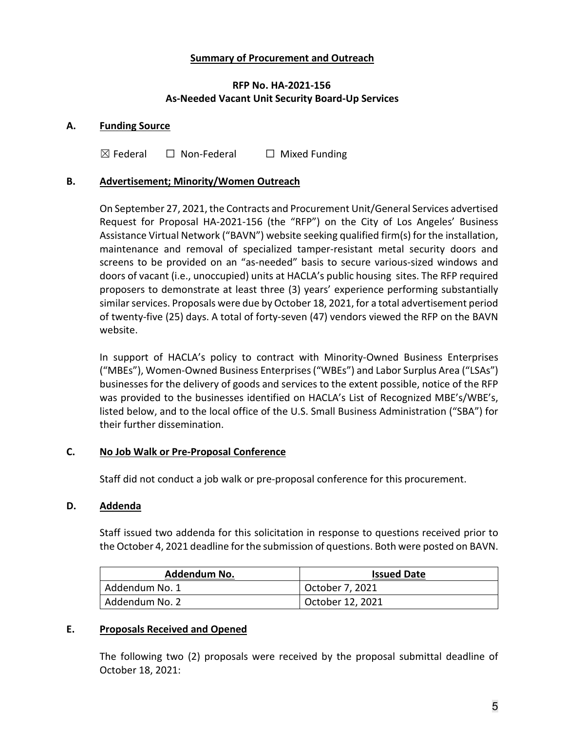## **Summary of Procurement and Outreach**

## **RFP No. HA-2021-156 As-Needed Vacant Unit Security Board-Up Services**

## **A. Funding Source**

 $\boxtimes$  Federal  $\Box$  Non-Federal  $\Box$  Mixed Funding

#### **B. Advertisement; Minority/Women Outreach**

On September 27, 2021, the Contracts and Procurement Unit/General Services advertised Request for Proposal HA-2021-156 (the "RFP") on the City of Los Angeles' Business Assistance Virtual Network ("BAVN") website seeking qualified firm(s) for the installation, maintenance and removal of specialized tamper-resistant metal security doors and screens to be provided on an "as-needed" basis to secure various-sized windows and doors of vacant (i.e., unoccupied) units at HACLA's public housing sites. The RFP required proposers to demonstrate at least three (3) years' experience performing substantially similar services. Proposals were due by October 18, 2021, for a total advertisement period of twenty-five (25) days. A total of forty-seven (47) vendors viewed the RFP on the BAVN website.

In support of HACLA's policy to contract with Minority-Owned Business Enterprises ("MBEs"), Women-Owned Business Enterprises ("WBEs") and Labor Surplus Area ("LSAs") businesses for the delivery of goods and services to the extent possible, notice of the RFP was provided to the businesses identified on HACLA's List of Recognized MBE's/WBE's, listed below, and to the local office of the U.S. Small Business Administration ("SBA") for their further dissemination.

#### **C. No Job Walk or Pre-Proposal Conference**

Staff did not conduct a job walk or pre-proposal conference for this procurement.

#### **D. Addenda**

Staff issued two addenda for this solicitation in response to questions received prior to the October 4, 2021 deadline for the submission of questions. Both were posted on BAVN.

| Addendum No.   | <b>Issued Date</b> |
|----------------|--------------------|
| Addendum No. 1 | October 7, 2021    |
| Addendum No. 2 | October 12, 2021   |

#### **E. Proposals Received and Opened**

The following two (2) proposals were received by the proposal submittal deadline of October 18, 2021: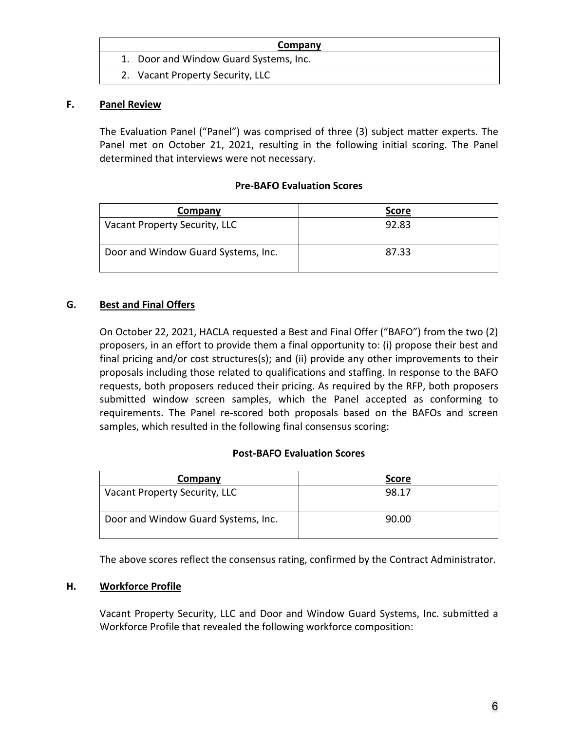| Company                                |  |
|----------------------------------------|--|
| 1. Door and Window Guard Systems, Inc. |  |
| 2. Vacant Property Security, LLC       |  |

## **F. Panel Review**

The Evaluation Panel ("Panel") was comprised of three (3) subject matter experts. The Panel met on October 21, 2021, resulting in the following initial scoring. The Panel determined that interviews were not necessary.

# **Pre-BAFO Evaluation Scores**

| Company                             | <b>Score</b> |
|-------------------------------------|--------------|
| Vacant Property Security, LLC       | 92.83        |
| Door and Window Guard Systems, Inc. | 87.33        |

# **G. Best and Final Offers**

On October 22, 2021, HACLA requested a Best and Final Offer ("BAFO") from the two (2) proposers, in an effort to provide them a final opportunity to: (i) propose their best and final pricing and/or cost structures(s); and (ii) provide any other improvements to their proposals including those related to qualifications and staffing. In response to the BAFO requests, both proposers reduced their pricing. As required by the RFP, both proposers submitted window screen samples, which the Panel accepted as conforming to requirements. The Panel re-scored both proposals based on the BAFOs and screen samples, which resulted in the following final consensus scoring:

## **Post-BAFO Evaluation Scores**

| Company                             | <b>Score</b> |
|-------------------------------------|--------------|
| Vacant Property Security, LLC       | 98.17        |
| Door and Window Guard Systems, Inc. | 90.00        |

The above scores reflect the consensus rating, confirmed by the Contract Administrator.

# **H. Workforce Profile**

Vacant Property Security, LLC and Door and Window Guard Systems, Inc. submitted a Workforce Profile that revealed the following workforce composition: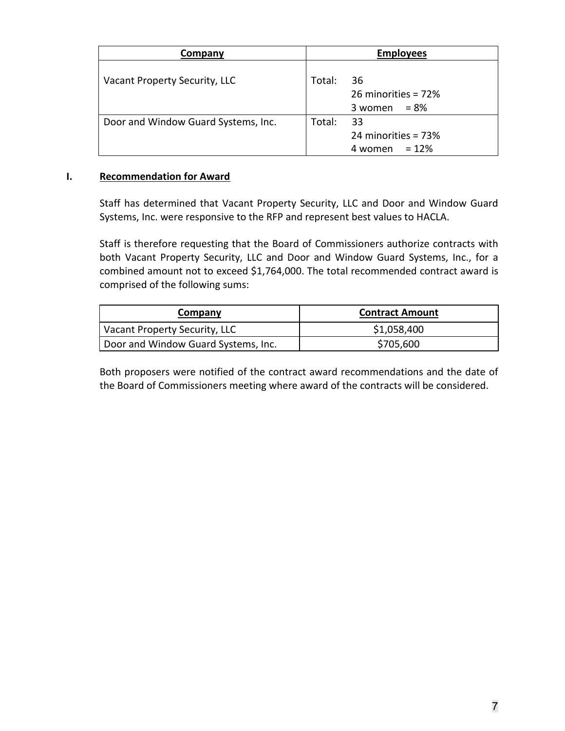| Company                             | <b>Employees</b>                                         |
|-------------------------------------|----------------------------------------------------------|
| Vacant Property Security, LLC       | Total:<br>36<br>26 minorities = 72%<br>$3$ women = $8\%$ |
| Door and Window Guard Systems, Inc. | Total:<br>33<br>24 minorities = 73%<br>$4$ women = 12%   |

#### **I. Recommendation for Award**

Staff has determined that Vacant Property Security, LLC and Door and Window Guard Systems, Inc. were responsive to the RFP and represent best values to HACLA.

Staff is therefore requesting that the Board of Commissioners authorize contracts with both Vacant Property Security, LLC and Door and Window Guard Systems, Inc., for a combined amount not to exceed \$1,764,000. The total recommended contract award is comprised of the following sums:

| Company                             | <b>Contract Amount</b> |
|-------------------------------------|------------------------|
| Vacant Property Security, LLC       | \$1,058,400            |
| Door and Window Guard Systems, Inc. | \$705,600              |

Both proposers were notified of the contract award recommendations and the date of the Board of Commissioners meeting where award of the contracts will be considered.